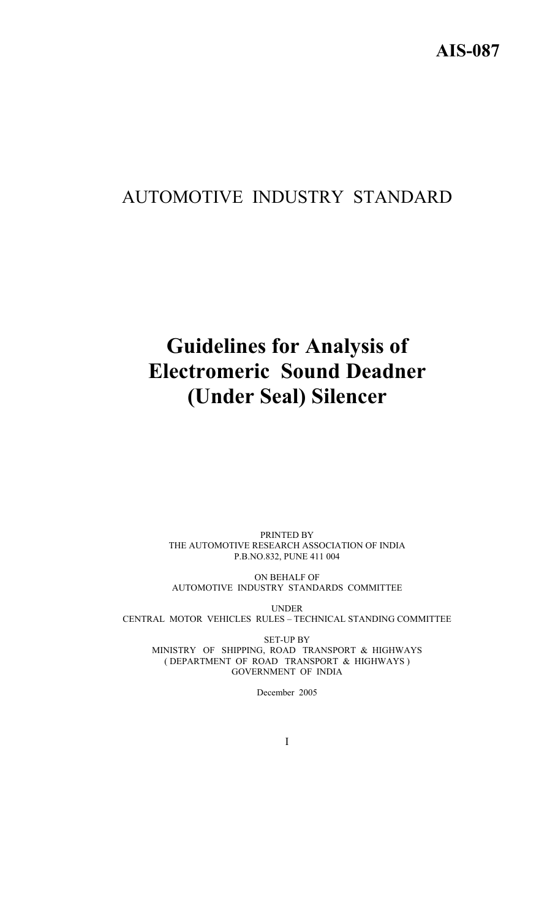# AUTOMOTIVE INDUSTRY STANDARD

# **Guidelines for Analysis of Electromeric Sound Deadner (Under Seal) Silencer**

PRINTED BY THE AUTOMOTIVE RESEARCH ASSOCIATION OF INDIA P.B.NO.832, PUNE 411 004

ON BEHALF OF AUTOMOTIVE INDUSTRY STANDARDS COMMITTEE

UNDER CENTRAL MOTOR VEHICLES RULES – TECHNICAL STANDING COMMITTEE

SET-UP BY MINISTRY OF SHIPPING, ROAD TRANSPORT & HIGHWAYS ( DEPARTMENT OF ROAD TRANSPORT & HIGHWAYS ) GOVERNMENT OF INDIA

December 2005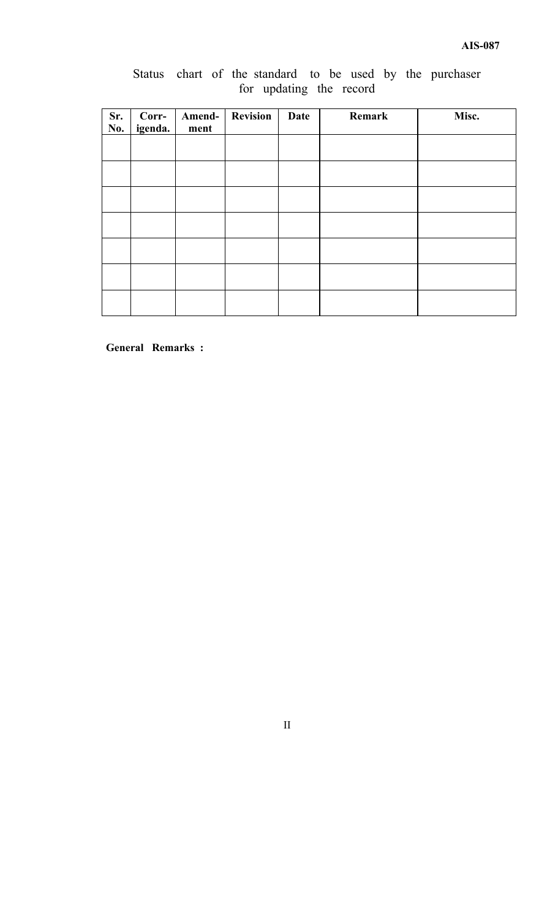# Status chart of the standard to be used by the purchaser for updating the record

| Sr.<br>No. | Corr-<br>igenda. | Amend-<br>ment | <b>Revision</b> | <b>Date</b> | Remark | Misc. |
|------------|------------------|----------------|-----------------|-------------|--------|-------|
|            |                  |                |                 |             |        |       |
|            |                  |                |                 |             |        |       |
|            |                  |                |                 |             |        |       |
|            |                  |                |                 |             |        |       |
|            |                  |                |                 |             |        |       |
|            |                  |                |                 |             |        |       |
|            |                  |                |                 |             |        |       |

**General Remarks :** 

II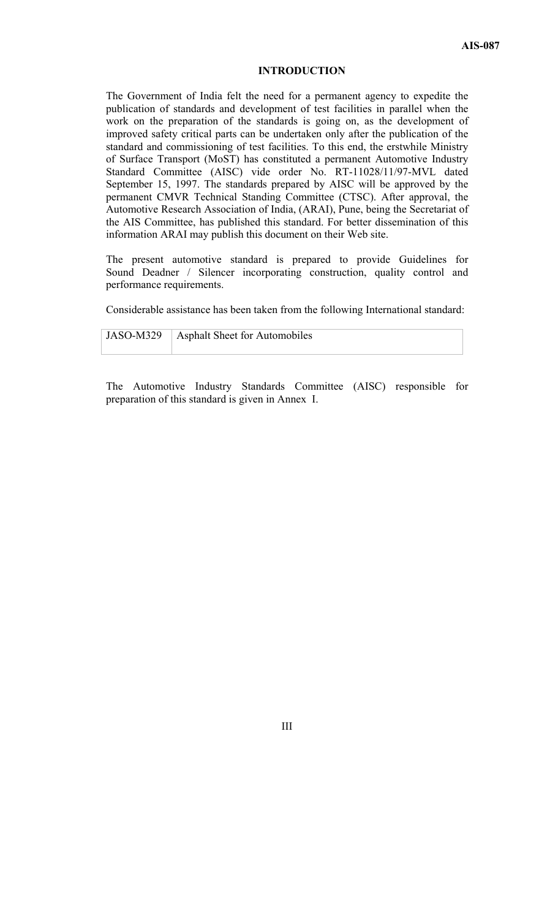#### **INTRODUCTION**

The Government of India felt the need for a permanent agency to expedite the publication of standards and development of test facilities in parallel when the work on the preparation of the standards is going on, as the development of improved safety critical parts can be undertaken only after the publication of the standard and commissioning of test facilities. To this end, the erstwhile Ministry of Surface Transport (MoST) has constituted a permanent Automotive Industry Standard Committee (AISC) vide order No. RT-11028/11/97-MVL dated September 15, 1997. The standards prepared by AISC will be approved by the permanent CMVR Technical Standing Committee (CTSC). After approval, the Automotive Research Association of India, (ARAI), Pune, being the Secretariat of the AIS Committee, has published this standard. For better dissemination of this information ARAI may publish this document on their Web site.

The present automotive standard is prepared to provide Guidelines for Sound Deadner / Silencer incorporating construction, quality control and performance requirements.

Considerable assistance has been taken from the following International standard:

JASO-M329 | Asphalt Sheet for Automobiles

The Automotive Industry Standards Committee (AISC) responsible for preparation of this standard is given in Annex I.

III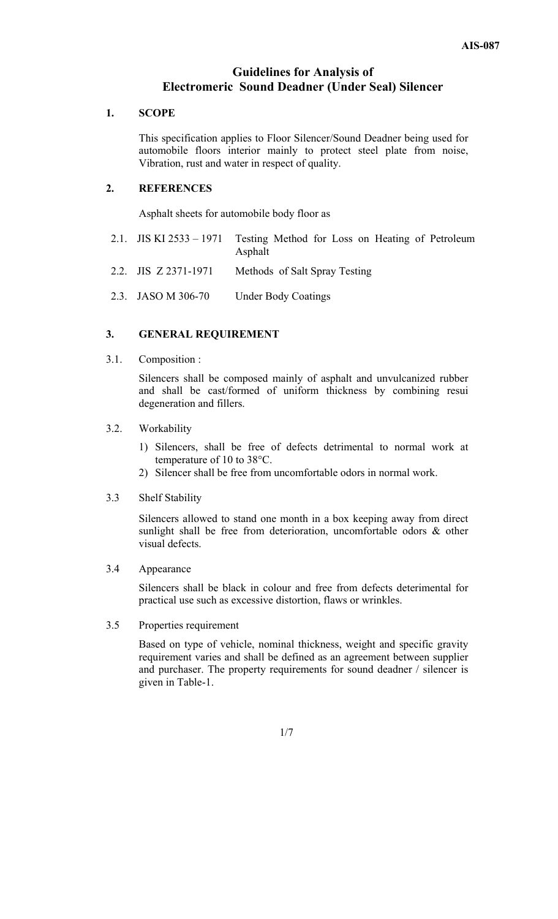# **Guidelines for Analysis of Electromeric Sound Deadner (Under Seal) Silencer**

#### **1. SCOPE**

This specification applies to Floor Silencer/Sound Deadner being used for automobile floors interior mainly to protect steel plate from noise, Vibration, rust and water in respect of quality.

# **2. REFERENCES**

Asphalt sheets for automobile body floor as

- 2.1. JIS KI 2533 1971 Testing Method for Loss on Heating of Petroleum Asphalt
- 2.2. JIS Z 2371-1971 Methods of Salt Spray Testing
- 2.3. JASO M 306-70 Under Body Coatings

## **3. GENERAL REQUIREMENT**

3.1. Composition :

Silencers shall be composed mainly of asphalt and unvulcanized rubber and shall be cast/formed of uniform thickness by combining resui degeneration and fillers.

#### 3.2. Workability

- 1) Silencers, shall be free of defects detrimental to normal work at temperature of 10 to 38°C.
- 2) Silencer shall be free from uncomfortable odors in normal work.

#### 3.3 Shelf Stability

 Silencers allowed to stand one month in a box keeping away from direct sunlight shall be free from deterioration, uncomfortable odors & other visual defects.

#### 3.4 Appearance

 Silencers shall be black in colour and free from defects deterimental for practical use such as excessive distortion, flaws or wrinkles.

#### 3.5 Properties requirement

 Based on type of vehicle, nominal thickness, weight and specific gravity requirement varies and shall be defined as an agreement between supplier and purchaser. The property requirements for sound deadner / silencer is given in Table-1.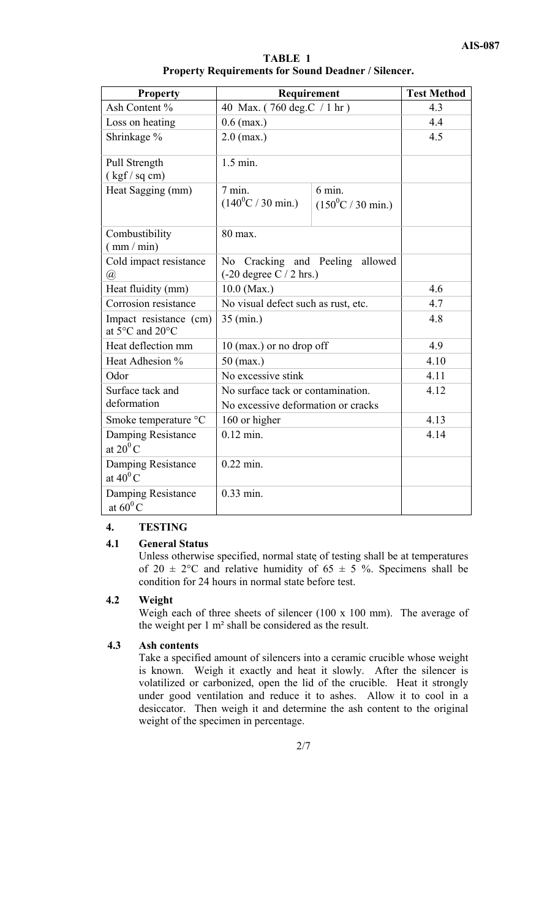| <b>TABLE 1</b>                                             |  |  |  |  |  |
|------------------------------------------------------------|--|--|--|--|--|
| <b>Property Requirements for Sound Deadner / Silencer.</b> |  |  |  |  |  |

| <b>Property</b>                           | Requirement                                                             | <b>Test Method</b>                                |      |
|-------------------------------------------|-------------------------------------------------------------------------|---------------------------------------------------|------|
| Ash Content %                             | 40 Max. (760 deg.C / 1 hr)                                              | 4.3                                               |      |
| Loss on heating                           | $0.6$ (max.)                                                            | 4.4                                               |      |
| Shrinkage %                               | $2.0$ (max.)                                                            | 4.5                                               |      |
| Pull Strength<br>(kgf/sq cm)              | $1.5$ min.                                                              |                                                   |      |
| Heat Sagging (mm)                         | $7 \text{ min.}$<br>$(140^0C / 30 \text{ min.})$                        | $6 \text{ min}$ .<br>$(150^0C / 30 \text{ min.})$ |      |
| Combustibility<br>$\frac{mm}{min}$ )      | 80 max.                                                                 |                                                   |      |
| Cold impact resistance<br>@               | No Cracking and Peeling<br>allowed<br>$(-20$ degree C $/ 2$ hrs.)       |                                                   |      |
| Heat fluidity (mm)                        | $10.0$ (Max.)                                                           | 4.6                                               |      |
| Corrosion resistance                      | No visual defect such as rust, etc.                                     | 4.7                                               |      |
| Impact resistance (cm)<br>at 5°C and 20°C | $35 \text{ (min.)}$                                                     | 4.8                                               |      |
| Heat deflection mm                        | $10$ (max.) or no drop off                                              | 4.9                                               |      |
| Heat Adhesion %                           | $50$ (max.)                                                             | 4.10                                              |      |
| Odor                                      | No excessive stink                                                      | 4.11                                              |      |
| Surface tack and<br>deformation           | No surface tack or contamination.<br>No excessive deformation or cracks | 4.12                                              |      |
| Smoke temperature °C                      | 160 or higher                                                           | 4.13                                              |      |
| Damping Resistance<br>at $20^0$ C         | $0.12$ min.                                                             |                                                   | 4.14 |
| Damping Resistance<br>at $40^0$ C         | $0.22$ min.                                                             |                                                   |      |
| Damping Resistance<br>at $60^0$ C         | $0.33$ min.                                                             |                                                   |      |

# **4. TESTING**

# **4.1 General Status**

Unless otherwise specified, normal state of testing shall be at temperatures of 20  $\pm$  2°C and relative humidity of 65  $\pm$  5 %. Specimens shall be condition for 24 hours in normal state before test.

#### **4.2 Weight**

Weigh each of three sheets of silencer (100 x 100 mm). The average of the weight per 1 m² shall be considered as the result.

# **4.3 Ash contents**

Take a specified amount of silencers into a ceramic crucible whose weight is known. Weigh it exactly and heat it slowly. After the silencer is volatilized or carbonized, open the lid of the crucible. Heat it strongly under good ventilation and reduce it to ashes. Allow it to cool in a desiccator. Then weigh it and determine the ash content to the original weight of the specimen in percentage.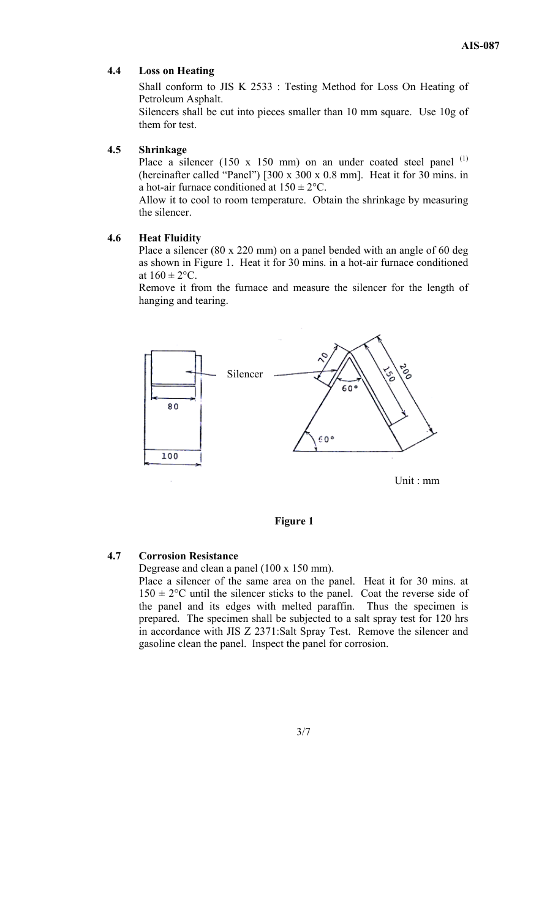#### **4.4 Loss on Heating**

Shall conform to JIS K 2533 : Testing Method for Loss On Heating of Petroleum Asphalt.

Silencers shall be cut into pieces smaller than 10 mm square. Use 10g of them for test.

## **4.5 Shrinkage**

Place a silencer (150 x 150 mm) on an under coated steel panel  $(1)$ (hereinafter called "Panel") [300 x 300 x 0.8 mm]. Heat it for 30 mins. in a hot-air furnace conditioned at  $150 \pm 2$ °C.

Allow it to cool to room temperature. Obtain the shrinkage by measuring the silencer.

#### **4.6 Heat Fluidity**

Place a silencer (80 x 220 mm) on a panel bended with an angle of 60 deg as shown in Figure 1. Heat it for 30 mins. in a hot-air furnace conditioned at  $160 \pm 2$ °C.

Remove it from the furnace and measure the silencer for the length of hanging and tearing.



#### **Figure 1**

#### **4.7 Corrosion Resistance**

Degrease and clean a panel (100 x 150 mm).

Place a silencer of the same area on the panel. Heat it for 30 mins. at  $150 \pm 2$ °C until the silencer sticks to the panel. Coat the reverse side of the panel and its edges with melted paraffin. Thus the specimen is prepared. The specimen shall be subjected to a salt spray test for 120 hrs in accordance with JIS Z 2371:Salt Spray Test. Remove the silencer and gasoline clean the panel. Inspect the panel for corrosion.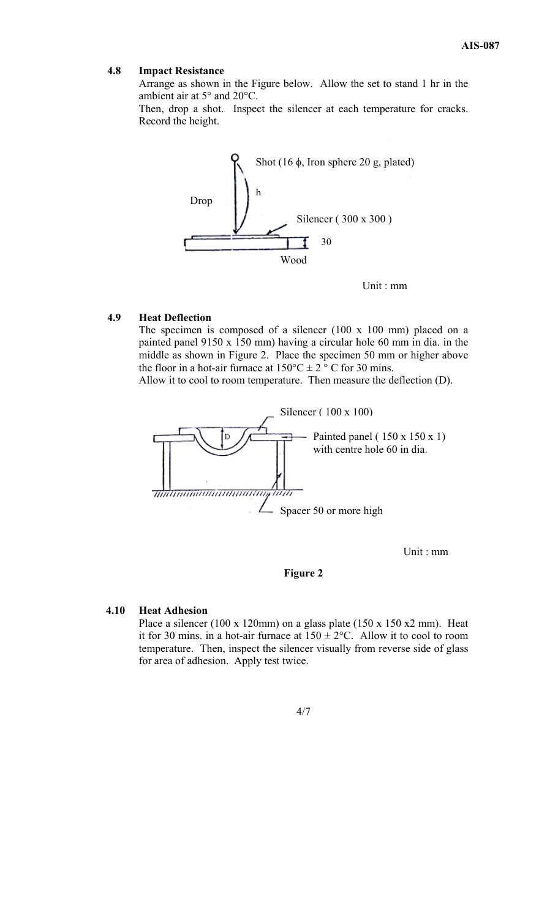#### **4.8 Impact Resistance**

Arrange as shown in the Figure below. Allow the set to stand 1 hr in the ambient air at 5° and 20°C.

Then, drop a shot. Inspect the silencer at each temperature for cracks. Record the height.



Unit : mm

#### **4.9 Heat Deflection**

The specimen is composed of a silencer  $(100 \times 100 \text{ mm})$  placed on a painted panel 9150 x 150 mm) having a circular hole 60 mm in dia. in the middle as shown in Figure 2. Place the specimen 50 mm or higher above the floor in a hot-air furnace at  $150^{\circ}$ C  $\pm$  2 ° C for 30 mins.

Allow it to cool to room temperature. Then measure the deflection (D).



Unit : mm

#### **Figure 2**

## **4.10 Heat Adhesion**

Place a silencer (100 x 120mm) on a glass plate (150 x 150 x2 mm). Heat it for 30 mins. in a hot-air furnace at  $150 \pm 2$ °C. Allow it to cool to room temperature. Then, inspect the silencer visually from reverse side of glass for area of adhesion. Apply test twice.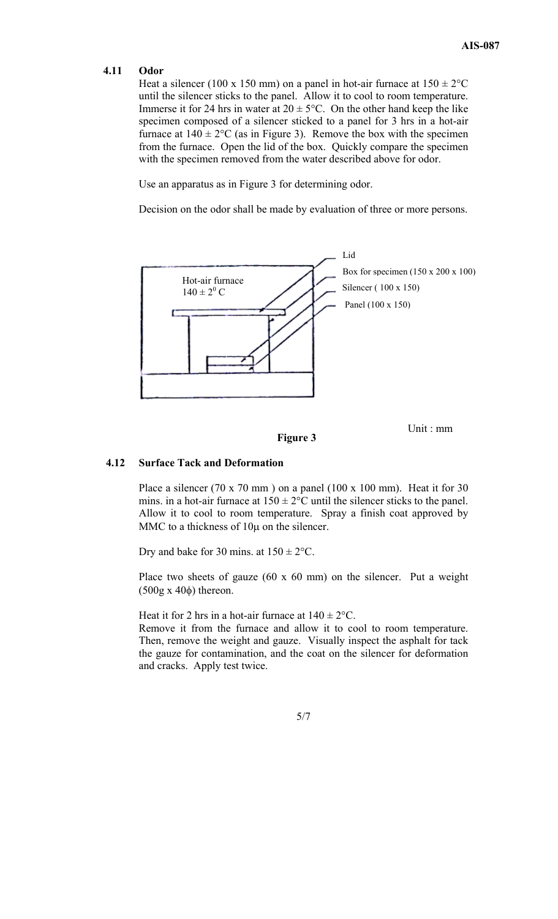Unit : mm

#### **4.11 Odor**

Heat a silencer (100 x 150 mm) on a panel in hot-air furnace at  $150 \pm 2^{\circ}$ C until the silencer sticks to the panel. Allow it to cool to room temperature. Immerse it for 24 hrs in water at  $20 \pm 5^{\circ}$ C. On the other hand keep the like specimen composed of a silencer sticked to a panel for 3 hrs in a hot-air furnace at  $140 \pm 2^{\circ}$ C (as in Figure 3). Remove the box with the specimen from the furnace. Open the lid of the box. Quickly compare the specimen with the specimen removed from the water described above for odor.

Use an apparatus as in Figure 3 for determining odor.

Decision on the odor shall be made by evaluation of three or more persons.



**Figure 3** 

# **4.12 Surface Tack and Deformation**

Place a silencer (70 x 70 mm ) on a panel (100 x 100 mm). Heat it for 30 mins. in a hot-air furnace at  $150 \pm 2$ °C until the silencer sticks to the panel. Allow it to cool to room temperature. Spray a finish coat approved by MMC to a thickness of  $10\mu$  on the silencer.

Dry and bake for 30 mins. at  $150 \pm 2$ °C.

Place two sheets of gauze (60 x 60 mm) on the silencer. Put a weight (500g x 40φ) thereon.

Heat it for 2 hrs in a hot-air furnace at  $140 \pm 2$ °C.

Remove it from the furnace and allow it to cool to room temperature. Then, remove the weight and gauze. Visually inspect the asphalt for tack the gauze for contamination, and the coat on the silencer for deformation and cracks. Apply test twice.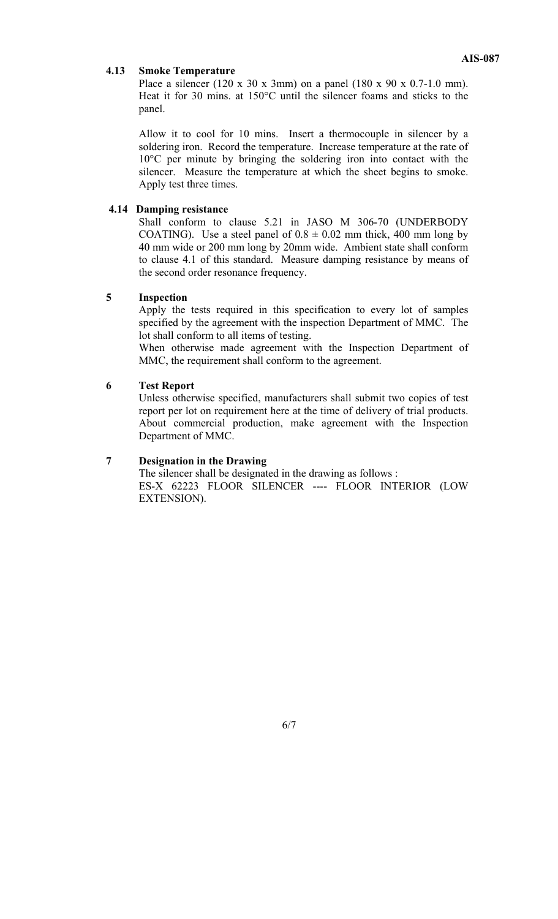#### **4.13 Smoke Temperature**

Place a silencer (120 x 30 x 3mm) on a panel (180 x 90 x 0.7-1.0 mm). Heat it for 30 mins. at 150°C until the silencer foams and sticks to the panel.

Allow it to cool for 10 mins. Insert a thermocouple in silencer by a soldering iron. Record the temperature. Increase temperature at the rate of 10°C per minute by bringing the soldering iron into contact with the silencer. Measure the temperature at which the sheet begins to smoke. Apply test three times.

#### **4.14 Damping resistance**

Shall conform to clause 5.21 in JASO M 306-70 (UNDERBODY COATING). Use a steel panel of  $0.8 \pm 0.02$  mm thick, 400 mm long by 40 mm wide or 200 mm long by 20mm wide. Ambient state shall conform to clause 4.1 of this standard. Measure damping resistance by means of the second order resonance frequency.

#### **5 Inspection**

Apply the tests required in this specification to every lot of samples specified by the agreement with the inspection Department of MMC. The lot shall conform to all items of testing.

When otherwise made agreement with the Inspection Department of MMC, the requirement shall conform to the agreement.

#### **6 Test Report**

Unless otherwise specified, manufacturers shall submit two copies of test report per lot on requirement here at the time of delivery of trial products. About commercial production, make agreement with the Inspection Department of MMC.

# **7 Designation in the Drawing**

The silencer shall be designated in the drawing as follows : ES-X 62223 FLOOR SILENCER ---- FLOOR INTERIOR (LOW EXTENSION).